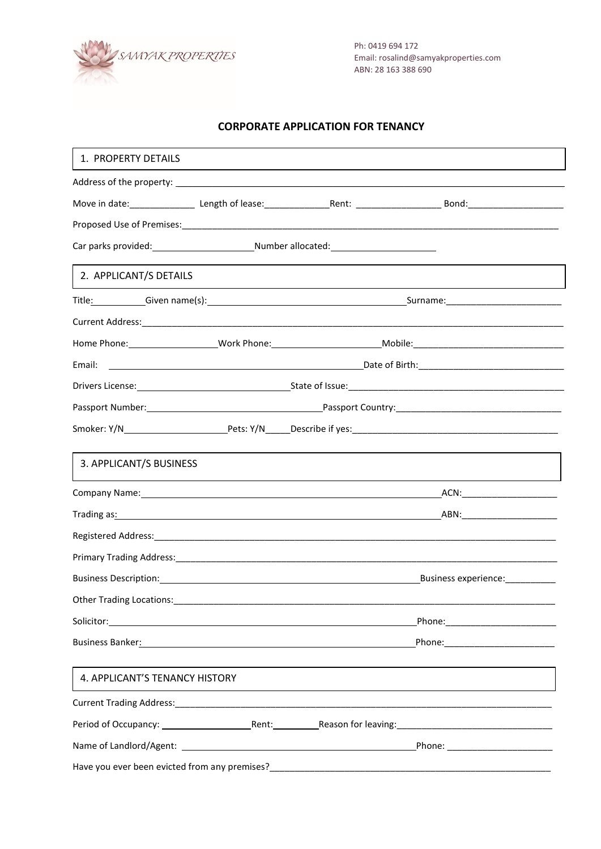

Ph: 0419 694 172 Email[: rosalind@samyakproperties.c](mailto:rosalind@samyakproperties.com)om ABN: 28 163 388 690

# **CORPORATE APPLICATION FOR TENANCY**

| 1. PROPERTY DETAILS            |  |  |                                                                                                               |
|--------------------------------|--|--|---------------------------------------------------------------------------------------------------------------|
|                                |  |  |                                                                                                               |
|                                |  |  |                                                                                                               |
|                                |  |  |                                                                                                               |
|                                |  |  |                                                                                                               |
| 2. APPLICANT/S DETAILS         |  |  |                                                                                                               |
|                                |  |  |                                                                                                               |
|                                |  |  |                                                                                                               |
|                                |  |  |                                                                                                               |
| Email:                         |  |  |                                                                                                               |
|                                |  |  |                                                                                                               |
|                                |  |  |                                                                                                               |
|                                |  |  |                                                                                                               |
| 3. APPLICANT/S BUSINESS        |  |  |                                                                                                               |
|                                |  |  |                                                                                                               |
|                                |  |  |                                                                                                               |
|                                |  |  |                                                                                                               |
|                                |  |  |                                                                                                               |
|                                |  |  | Business experience:                                                                                          |
| Other Trading Locations:       |  |  |                                                                                                               |
|                                |  |  |                                                                                                               |
|                                |  |  | Phone: 2008 2010 2010 2021 2022 2023 2024 2022 2022 2023 2024 2022 2023 2024 2022 2023 2024 2025 2026 2027 20 |
| 4. APPLICANT'S TENANCY HISTORY |  |  |                                                                                                               |
|                                |  |  |                                                                                                               |
|                                |  |  |                                                                                                               |
|                                |  |  | _Phone: _________________________                                                                             |
|                                |  |  |                                                                                                               |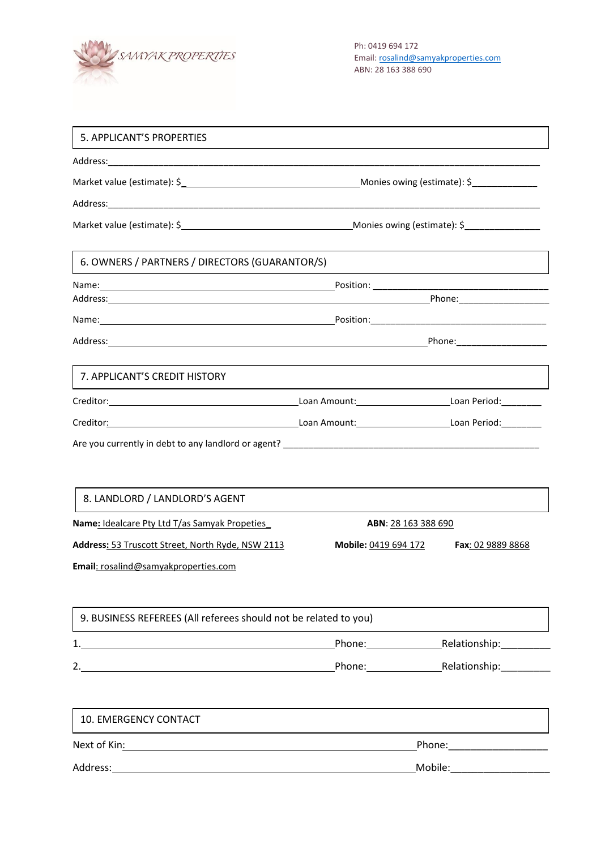

| 5. APPLICANT'S PROPERTIES                                                                                                                                                                                                      |                      |                             |  |  |
|--------------------------------------------------------------------------------------------------------------------------------------------------------------------------------------------------------------------------------|----------------------|-----------------------------|--|--|
|                                                                                                                                                                                                                                |                      |                             |  |  |
|                                                                                                                                                                                                                                |                      |                             |  |  |
|                                                                                                                                                                                                                                |                      |                             |  |  |
|                                                                                                                                                                                                                                |                      |                             |  |  |
| 6. OWNERS / PARTNERS / DIRECTORS (GUARANTOR/S)                                                                                                                                                                                 |                      |                             |  |  |
|                                                                                                                                                                                                                                |                      |                             |  |  |
|                                                                                                                                                                                                                                |                      |                             |  |  |
|                                                                                                                                                                                                                                |                      |                             |  |  |
|                                                                                                                                                                                                                                |                      |                             |  |  |
| 7. APPLICANT'S CREDIT HISTORY                                                                                                                                                                                                  |                      |                             |  |  |
|                                                                                                                                                                                                                                |                      |                             |  |  |
| Creditor: Creditor: Communication: Communication: Communication: Communication: Communication: Communication: Communication: Communication: Communication: Communication: Communication: Communication: Communication: Communi |                      |                             |  |  |
|                                                                                                                                                                                                                                |                      |                             |  |  |
|                                                                                                                                                                                                                                |                      |                             |  |  |
|                                                                                                                                                                                                                                |                      |                             |  |  |
| 8. LANDLORD / LANDLORD'S AGENT                                                                                                                                                                                                 |                      |                             |  |  |
| Name: Idealcare Pty Ltd T/as Samyak Propeties                                                                                                                                                                                  | ABN: 28 163 388 690  |                             |  |  |
| Address: 53 Truscott Street, North Ryde, NSW 2113                                                                                                                                                                              | Mobile: 0419 694 172 | Fax: 02 9889 8868           |  |  |
| Email: rosalind@samyakproperties.com                                                                                                                                                                                           |                      |                             |  |  |
|                                                                                                                                                                                                                                |                      |                             |  |  |
| 9. BUSINESS REFEREES (All referees should not be related to you)                                                                                                                                                               |                      |                             |  |  |
|                                                                                                                                                                                                                                |                      | Phone: Relationship: Phone: |  |  |
|                                                                                                                                                                                                                                |                      | Phone: Relationship:        |  |  |
|                                                                                                                                                                                                                                |                      |                             |  |  |
| 10. EMERGENCY CONTACT                                                                                                                                                                                                          |                      |                             |  |  |
|                                                                                                                                                                                                                                | Phone: 2008          |                             |  |  |
|                                                                                                                                                                                                                                |                      |                             |  |  |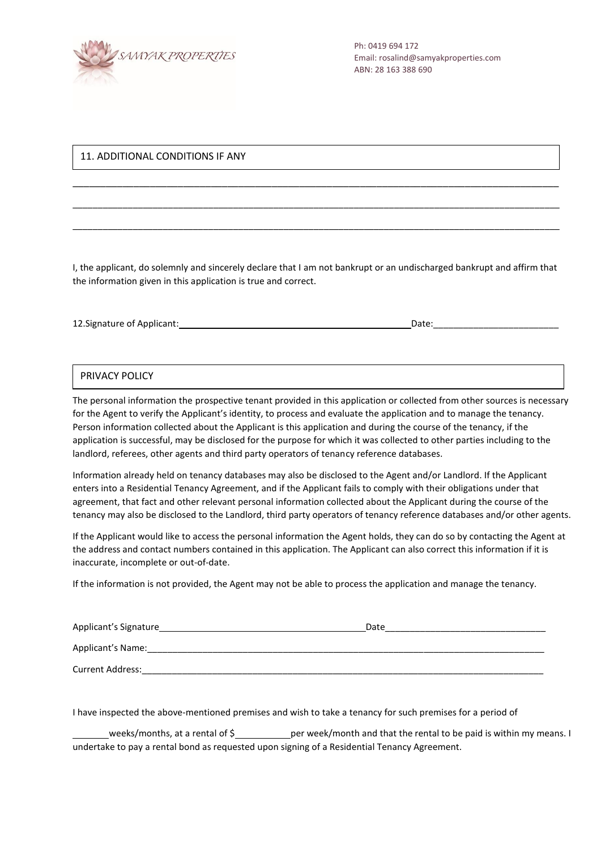

## 11. ADDITIONAL CONDITIONS IF ANY

I, the applicant, do solemnly and sincerely declare that I am not bankrupt or an undischarged bankrupt and affirm that the information given in this application is true and correct.

\_\_\_\_\_\_\_\_\_\_\_\_\_\_\_\_\_\_\_\_\_\_\_\_\_\_\_\_\_\_\_\_\_\_\_\_\_\_\_\_\_\_\_\_\_\_\_\_\_\_\_\_\_\_\_\_\_\_\_\_\_\_\_\_\_\_\_\_\_\_\_\_\_\_\_\_\_\_\_\_\_\_\_\_\_\_\_\_

\_\_\_\_\_\_\_\_\_\_\_\_\_\_\_\_\_\_\_\_\_\_\_\_\_\_\_\_\_\_\_\_\_\_\_\_\_\_\_\_\_\_\_\_\_\_\_\_\_\_\_\_\_\_\_\_\_\_\_\_\_\_\_\_\_\_\_\_\_\_\_\_\_\_\_\_\_\_\_\_\_\_\_\_\_\_\_\_\_\_\_\_\_\_\_\_\_

\_\_\_\_\_\_\_\_\_\_\_\_\_\_\_\_\_\_\_\_\_\_\_\_\_\_\_\_\_\_\_\_\_\_\_\_\_\_\_\_\_\_\_\_\_\_\_\_\_\_\_\_\_\_\_\_\_\_\_\_\_\_\_\_\_\_\_\_\_\_\_\_\_\_\_\_\_\_\_\_\_\_\_\_\_\_\_\_\_\_\_\_\_\_\_\_\_

| 12. Signature of Applicant:<br>Date |  |
|-------------------------------------|--|
|-------------------------------------|--|

### PRIVACY POLICY

The personal information the prospective tenant provided in this application or collected from other sources is necessary for the Agent to verify the Applicant's identity, to process and evaluate the application and to manage the tenancy. Person information collected about the Applicant is this application and during the course of the tenancy, if the application is successful, may be disclosed for the purpose for which it was collected to other parties including to the landlord, referees, other agents and third party operators of tenancy reference databases.

Information already held on tenancy databases may also be disclosed to the Agent and/or Landlord. If the Applicant enters into a Residential Tenancy Agreement, and if the Applicant fails to comply with their obligations under that agreement, that fact and other relevant personal information collected about the Applicant during the course of the tenancy may also be disclosed to the Landlord, third party operators of tenancy reference databases and/or other agents.

If the Applicant would like to access the personal information the Agent holds, they can do so by contacting the Agent at the address and contact numbers contained in this application. The Applicant can also correct this information if it is inaccurate, incomplete or out-of-date.

If the information is not provided, the Agent may not be able to process the application and manage the tenancy.

| Applicant's Signature   | Date |
|-------------------------|------|
| Applicant's Name:       |      |
| <b>Current Address:</b> |      |

I have inspected the above-mentioned premises and wish to take a tenancy for such premises for a period of

weeks/months, at a rental of  $\frac{6}{2}$  per week/month and that the rental to be paid is within my means. I undertake to pay a rental bond as requested upon signing of a Residential Tenancy Agreement.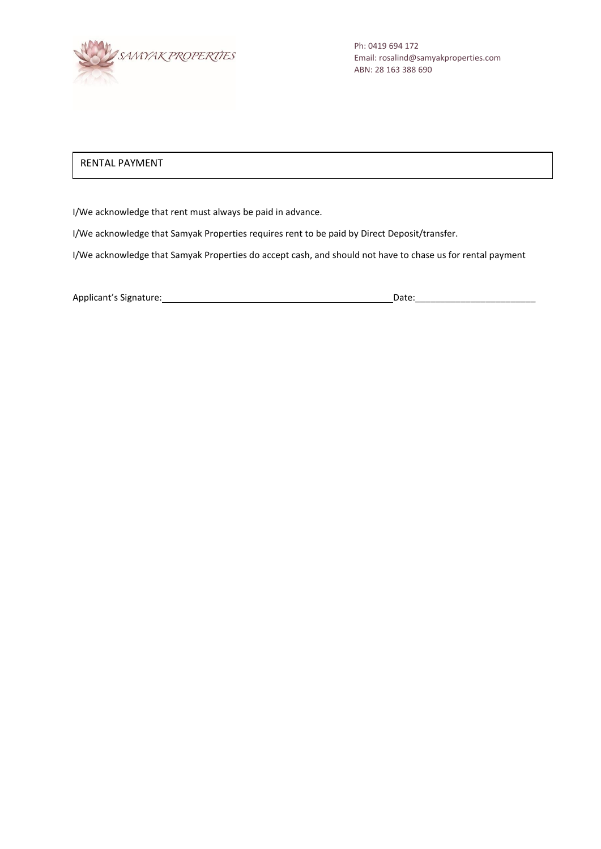

Ph: 0419 694 172 Email[: rosalind@samyakproperties.c](mailto:rosalind@samyakproperties.com)om ABN: 28 163 388 690

# RENTAL PAYMENT

I/We acknowledge that rent must always be paid in advance.

I/We acknowledge that Samyak Properties requires rent to be paid by Direct Deposit/transfer.

I/We acknowledge that Samyak Properties do accept cash, and should not have to chase us for rental payment

Applicant's Signature: Date:\_\_\_\_\_\_\_\_\_\_\_\_\_\_\_\_\_\_\_\_\_\_\_\_